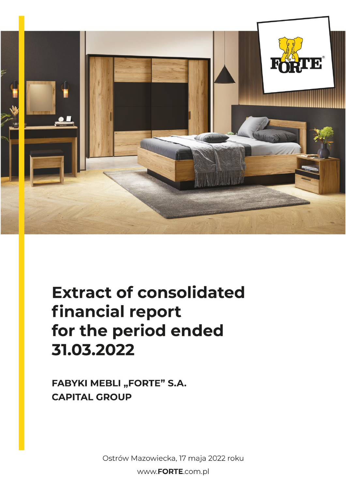

# **Extract of consolidated** financial report for the period ended 31.03.2022

**FABYKI MEBLI "FORTE" S.A. CAPITAL GROUP** 

Ostrów Mazowiecka, 17 maja 2022 roku

www.FORTE.com.pl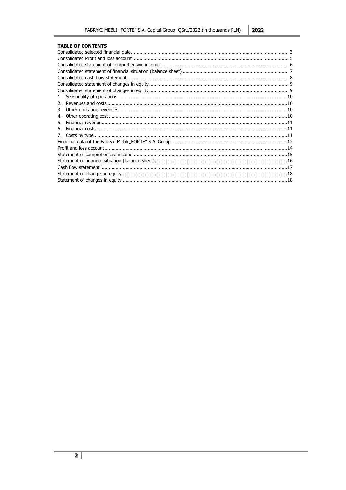#### **TABLE OF CONTENTS**

| 2. |  |
|----|--|
| 3. |  |
| 4. |  |
| 5. |  |
| 6. |  |
| 7. |  |
|    |  |
|    |  |
|    |  |
|    |  |
|    |  |
|    |  |
|    |  |
|    |  |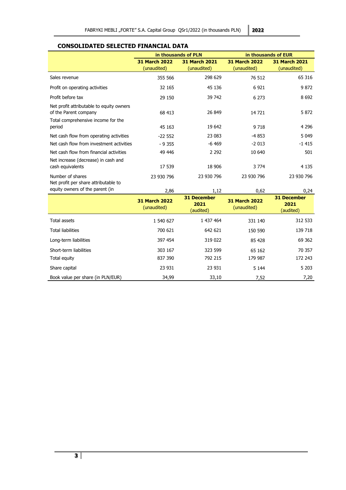# <span id="page-2-0"></span>**CONSOLIDATED SELECTED FINANCIAL DATA**

|                                                                                                         |                                          | in thousands of PLN                 | in thousands of EUR                 |                                     |  |  |
|---------------------------------------------------------------------------------------------------------|------------------------------------------|-------------------------------------|-------------------------------------|-------------------------------------|--|--|
|                                                                                                         | <b>31 March 2022</b><br>(unaudited)      | <b>31 March 2021</b><br>(unaudited) | <b>31 March 2022</b><br>(unaudited) | <b>31 March 2021</b><br>(unaudited) |  |  |
| Sales revenue                                                                                           | 355 566                                  | 298 629                             | 76 512                              | 65 316                              |  |  |
| Profit on operating activities                                                                          | 32 165                                   | 45 136                              | 6 9 21                              | 9872                                |  |  |
| Profit before tax                                                                                       | 29 150                                   | 39 742                              | 6 2 7 3                             | 8 6 9 2                             |  |  |
| Net profit attributable to equity owners<br>of the Parent company<br>Total comprehensive income for the | 68 413                                   | 26 849                              | 14721                               | 5 8 7 2                             |  |  |
| period                                                                                                  | 45 163                                   | 19 642                              | 9 7 18                              | 4 2 9 6                             |  |  |
| Net cash flow from operating activities                                                                 | $-22552$                                 | 23 083                              | -4 853                              | 5 0 4 9                             |  |  |
| Net cash flow from investment activities                                                                | $-9355$                                  | $-6469$                             | $-2013$                             | $-1415$                             |  |  |
| Net cash flow from financial activities                                                                 | 49 446                                   | 2 2 9 2                             | 10 640                              | 501                                 |  |  |
| Net increase (decrease) in cash and<br>cash equivalents                                                 | 17 539                                   | 18 906                              | 3 7 7 4                             | 4 1 3 5                             |  |  |
| Number of shares<br>Net profit per share attributable to                                                | 23 930 796                               | 23 930 796                          | 23 930 796                          | 23 930 796                          |  |  |
| equity owners of the parent (in                                                                         | 2,86                                     | 1,12                                | 0,62                                | 0,24                                |  |  |
|                                                                                                         | <b>31 December</b><br><b>31 December</b> |                                     |                                     |                                     |  |  |

|                                   | <b>31 December</b><br><b>31 March 2022</b><br>2021<br>(unaudited)<br>(audited) |           | <b>31 March 2022</b><br>(unaudited) | <b>31 December</b><br>2021<br>(audited) |
|-----------------------------------|--------------------------------------------------------------------------------|-----------|-------------------------------------|-----------------------------------------|
| Total assets                      | 1 540 627                                                                      | 1 437 464 | 331 140                             | 312 533                                 |
| <b>Total liabilities</b>          | 700 621                                                                        | 642 621   | 150 590                             | 139 718                                 |
| Long-term liabilities             | 397 454                                                                        | 319 022   | 85 428                              | 69 362                                  |
| Short-term liabilities            | 303 167                                                                        | 323 599   | 65 162                              | 70 357                                  |
| Total equity                      | 837 390                                                                        | 792 215   | 179 987                             | 172 243                                 |
| Share capital                     | 23 931                                                                         | 23 931    | 5 1 4 4                             | 5 2 0 3                                 |
| Book value per share (in PLN/EUR) | 34,99                                                                          | 33,10     | 7,52                                | 7,20                                    |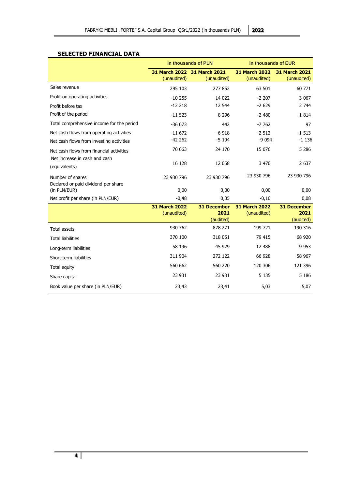# **SELECTED FINANCIAL DATA**

|                                                         |                                     | in thousands of PLN                        | in thousands of EUR                 |                                         |  |
|---------------------------------------------------------|-------------------------------------|--------------------------------------------|-------------------------------------|-----------------------------------------|--|
|                                                         | (unaudited)                         | 31 March 2022 31 March 2021<br>(unaudited) | <b>31 March 2022</b><br>(unaudited) | <b>31 March 2021</b><br>(unaudited)     |  |
| Sales revenue                                           | 295 103                             | 277852                                     | 63 501                              | 60 771                                  |  |
| Profit on operating activities                          | $-10255$                            | 14 0 22                                    | $-2207$                             | 3 0 6 7                                 |  |
| Profit before tax                                       | $-12218$                            | 12 544                                     | $-2629$                             | 2 7 4 4                                 |  |
| Profit of the period                                    | $-11523$                            | 8 2 9 6                                    | $-2480$                             | 1814                                    |  |
| Total comprehensive income for the period               | $-36073$                            | 442                                        | $-7762$                             | 97                                      |  |
| Net cash flows from operating activities                | $-11672$                            | $-6918$                                    | $-2512$                             | $-1513$                                 |  |
| Net cash flows from investing activities                | $-42262$                            | $-5194$                                    | $-9094$                             | $-1136$                                 |  |
| Net cash flows from financial activities                | 70 063                              | 24 170                                     | 15 0 76                             | 5 2 8 6                                 |  |
| Net increase in cash and cash<br>(equivalents)          | 16 128                              | 12 058                                     | 3 4 7 0                             | 2 6 3 7                                 |  |
| Number of shares<br>Declared or paid dividend per share | 23 930 796                          | 23 930 796                                 | 23 930 796                          | 23 930 796                              |  |
| (in PLN/EUR)                                            | 0,00                                | 0,00                                       | 0,00                                | 0,00                                    |  |
| Net profit per share (in PLN/EUR)                       | $-0,48$                             | 0,35                                       | $-0,10$                             | 0,08                                    |  |
|                                                         | <b>31 March 2022</b><br>(unaudited) | <b>31 December</b><br>2021<br>(audited)    | <b>31 March 2022</b><br>(unaudited) | <b>31 December</b><br>2021<br>(audited) |  |
| <b>Total assets</b>                                     | 930 762                             | 878 271                                    | 199 721                             | 190 316                                 |  |
| <b>Total liabilities</b>                                | 370 100                             | 318 051                                    | 79 415                              | 68 9 20                                 |  |
| Long-term liabilities                                   | 58 196                              | 45 9 29                                    | 12 488                              | 9 9 5 3                                 |  |
| Short-term liabilities                                  | 311 904                             | 272 122                                    | 66 928                              | 58 967                                  |  |
| Total equity                                            | 560 662                             | 560 220                                    | 120 306                             | 121 396                                 |  |
| Share capital                                           | 23 931                              | 23 931                                     | 5 1 3 5                             | 5 1 8 6                                 |  |
| Book value per share (in PLN/EUR)                       | 23,43                               | 23,41                                      | 5,03                                | 5,07                                    |  |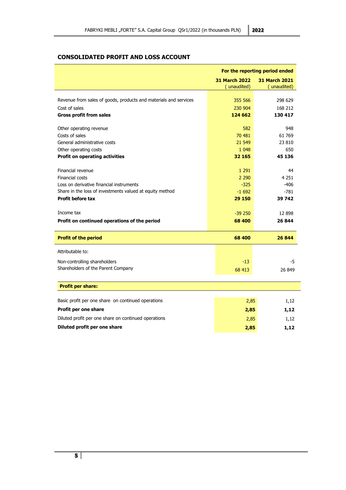# <span id="page-4-0"></span>**CONSOLIDATED PROFIT AND LOSS ACCOUNT**

|                                                                  | For the reporting period ended               |             |  |  |
|------------------------------------------------------------------|----------------------------------------------|-------------|--|--|
|                                                                  | <b>31 March 2022</b><br><b>31 March 2021</b> |             |  |  |
|                                                                  | (unaudited)                                  | (unaudited) |  |  |
| Revenue from sales of goods, products and materials and services | 355 566                                      | 298 629     |  |  |
|                                                                  |                                              |             |  |  |
| Cost of sales                                                    | 230 904<br>124 662                           | 168 212     |  |  |
| <b>Gross profit from sales</b>                                   |                                              | 130 417     |  |  |
| Other operating revenue                                          | 582                                          | 948         |  |  |
| Costs of sales                                                   | 70 481                                       | 61 769      |  |  |
| General administrative costs                                     | 21 549                                       | 23 810      |  |  |
| Other operating costs                                            | 1 0 4 8                                      | 650         |  |  |
| <b>Profit on operating activities</b>                            | 32 165                                       | 45 136      |  |  |
|                                                                  |                                              |             |  |  |
| Financial revenue                                                | 1 2 9 1                                      | 44          |  |  |
| Financial costs                                                  | 2 2 9 0                                      | 4 2 5 1     |  |  |
| Loss on derivative financial instruments                         | $-325$                                       | $-406$      |  |  |
| Share in the loss of investments valued at equity method         | $-1692$                                      | $-781$      |  |  |
| <b>Profit before tax</b>                                         | 29 150                                       | 39 742      |  |  |
| Income tax                                                       | $-39250$                                     | 12 898      |  |  |
| Profit on continued operations of the period                     | 68 400                                       | 26 844      |  |  |
|                                                                  |                                              |             |  |  |
| <b>Profit of the period</b>                                      | 68 400                                       | 26 844      |  |  |
| Attributable to:                                                 |                                              |             |  |  |
| Non-controlling shareholders                                     | $-13$                                        | -5          |  |  |
| Shareholders of the Parent Company                               | 68 413                                       | 26 849      |  |  |
|                                                                  |                                              |             |  |  |
| <b>Profit per share:</b>                                         |                                              |             |  |  |
|                                                                  |                                              |             |  |  |
| Basic profit per one share on continued operations               | 2,85                                         | 1,12        |  |  |
| Profit per one share                                             | 2,85                                         | 1,12        |  |  |
| Diluted profit per one share on continued operations             | 2,85                                         | 1,12        |  |  |
| Diluted profit per one share                                     | 2,85                                         | 1,12        |  |  |
|                                                                  |                                              |             |  |  |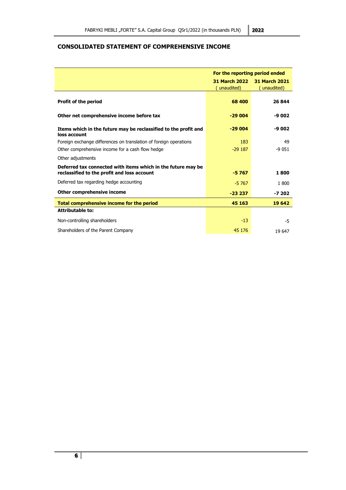# <span id="page-5-0"></span>**CONSOLIDATED STATEMENT OF COMPREHENSIVE INCOME**

|                                                                                                             | For the reporting period ended      |                                     |  |
|-------------------------------------------------------------------------------------------------------------|-------------------------------------|-------------------------------------|--|
|                                                                                                             | <b>31 March 2022</b><br>(unaudited) | <b>31 March 2021</b><br>(unaudited) |  |
| <b>Profit of the period</b>                                                                                 | 68 400                              | 26 844                              |  |
| Other net comprehensive income before tax                                                                   | $-29004$                            | -9 002                              |  |
| Items which in the future may be reclassified to the profit and<br>loss account                             | $-29004$                            | -9 002                              |  |
| Foreign exchange differences on translation of foreign operations                                           | 183                                 | 49                                  |  |
| Other comprehensive income for a cash flow hedge                                                            | $-29187$                            | $-9051$                             |  |
| Other adjustments                                                                                           |                                     |                                     |  |
| Deferred tax connected with items which in the future may be<br>reclassified to the profit and loss account | $-5767$                             | 1800                                |  |
| Deferred tax regarding hedge accounting                                                                     | $-5767$                             | 1800                                |  |
| Other comprehensive income                                                                                  | $-23237$                            | -7 202                              |  |
| Total comprehensive income for the period                                                                   | 45 163                              | 19 642                              |  |
| <b>Attributable to:</b>                                                                                     |                                     |                                     |  |
| Non-controlling shareholders                                                                                | $-13$                               | -5                                  |  |
| Shareholders of the Parent Company                                                                          | 45 176                              | 19 647                              |  |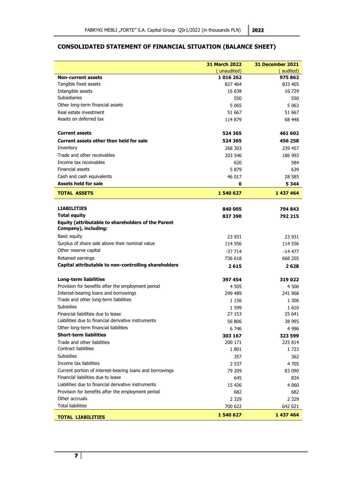# <span id="page-6-0"></span>**CONSOLIDATED STATEMENT OF FINANCIAL SITUATION (BALANCE SHEET)**

|                                                                                   | <b>31 March 2022</b> | <b>31 December 2021</b> |
|-----------------------------------------------------------------------------------|----------------------|-------------------------|
|                                                                                   | (unaudited)          | (audited)               |
| <b>Non-current assets</b>                                                         | 1016262              | 975 862                 |
| Tangible fixed assets                                                             | 827 464              | 833 405                 |
| Intangible assets                                                                 | 16 638               | 16 729                  |
| Subsidiaries                                                                      | 550                  | 550                     |
| Other long-term financial assets                                                  | 5 0 6 5              | 5 0 63                  |
| Real estate investment                                                            | 51 667               | 51 667                  |
| Assets on deferred tax                                                            | 114 879              | 68 448                  |
| <b>Current assets</b>                                                             | 524 365              | 461 602                 |
| Current assets other then held for sale                                           | 524 365              | 456 258                 |
| Inventory                                                                         | 268 303              | 239 457                 |
| Trade and other receivables                                                       | 203 546              | 186 993                 |
| Income tax receivables                                                            | 620                  | 584                     |
| Financial assets                                                                  | 5 8 7 9              | 639                     |
| Cash and cash equivalents                                                         | 46 017               | 28 5 85                 |
| <b>Assets held for sale</b>                                                       | 0                    | 5 3 4 4                 |
| <b>TOTAL ASSETS</b>                                                               | 1540627              | 1 437 464               |
| <b>LIABILITIES</b>                                                                |                      |                         |
|                                                                                   | 840 005              | 794 843                 |
| <b>Total equity</b>                                                               | 837 390              | 792 215                 |
| <b>Equity (attributable to shareholders of the Parent</b><br>Company), including: |                      |                         |
| Basic equity                                                                      | 23 931               | 23 931                  |
| Surplus of share sale above their nominal value                                   | 114 556              | 114 556                 |
| Other reserve capital                                                             | $-37714$             | $-14477$                |
| Retained earnings                                                                 | 736 618              | 668 205                 |
| Capital attributable to non-controlling shareholders                              | 2615                 | 2628                    |
| <b>Long-term liabilities</b>                                                      | 397 454              | 319 022                 |
| Provision for benefits after the employment period                                | 4 505                | 4 506                   |
| Interest-bearing loans and borrowings                                             | 299 489              | 241 968                 |
| Trade and other long-term liabilities                                             | 1 1 5 6              | 1 306                   |
| <b>Subsidies</b>                                                                  | 1 5 9 9              | 1610                    |
| Financial liabilities due to lease                                                | 27 153               | 25 641                  |
| Liabilities due to financial derivative instruments                               | 56 806               | 38 995                  |
| Other long-term financial liabilities                                             | 6 746                | 4 9 9 6                 |
| <b>Short-term liabilities</b>                                                     | 303 167              | 323 599                 |
| Trade and other liabilities                                                       | 200 171              | 225 814                 |
| Contract liabilities                                                              | 1801                 | 1 723                   |
| <b>Subsidies</b>                                                                  | 357                  | 362                     |
| Income tax liabilities                                                            | 2 5 3 7              | 4 705                   |
| Current portion of interest-bearing loans and borrowings                          | 79 209               | 83 090                  |
| Financial liabilities due to lease                                                | 645                  | 834                     |
| Liabilities due to financial derivative instruments                               | 15 4 36              | 4 060                   |
| Provision for benefits after the employment period                                | 682                  | 682                     |
| Other accruals                                                                    | 2 3 2 9              | 2 3 2 9                 |
| <b>Total liabilities</b>                                                          | 700 622              | 642 621                 |
| <b>TOTAL LIABILITIES</b>                                                          | 1 540 627            | 1 437 464               |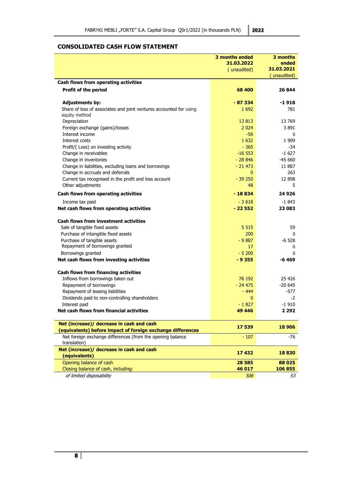# <span id="page-7-0"></span>**CONSOLIDATED CASH FLOW STATEMENT**

|                                                                    | 3 months ended | 3 months     |
|--------------------------------------------------------------------|----------------|--------------|
|                                                                    | 31.03.2022     | ended        |
|                                                                    | (unaudited)    | 31.03.2021   |
|                                                                    |                | (unaudited)  |
| Cash flows from operating activities                               |                |              |
| <b>Profit of the period</b>                                        | 68 400         | 26 844       |
|                                                                    |                |              |
| <b>Adjustments by:</b>                                             | $-87334$       | -1 918       |
| Share of loss of associates and joint ventures accounted for using | 1 6 9 2        | 781          |
| equity method                                                      |                |              |
| Depreciation                                                       | 13 813         | 13769        |
| Foreign exchange (gains)/losses                                    | 2 0 2 4        | 3 891        |
| Interest income                                                    | $-56$          | $\mathbf{0}$ |
| Interest costs                                                     | 1 6 3 2        | 1 9 0 9      |
| Profit/(Loss) on investing activity                                | $-365$         | -34          |
| Change in receivables                                              | $-16553$       | $-1627$      |
| Change in inventories                                              | $-28846$       | $-4560$      |
| Change in liabilities, excluding loans and borrowings              | $-21473$       | 11 887       |
| Change in accruals and deferrals                                   | $\mathbf{0}$   | 263          |
| Current tax recognised in the profit and loss account              | $-39250$       | 12 8 98      |
| Other adjustments                                                  | 48             | 5            |
| Cash flows from operating activities                               | $-18834$       | 24926        |
| Income tax paid                                                    | $-3618$        | -1 843       |
| Net cash flows from operating activities                           | $-22552$       | 23 083       |
|                                                                    |                |              |
| <b>Cash flows from investment activities</b>                       |                |              |
| Sale of tangible fixed assets                                      | 5 5 1 5        | 59           |
| Purchase of intangible fixed assets                                | 200            | $\mathbf{0}$ |
| Purchase of tangible assets                                        | $-9887$        | $-6528$      |
| Repayment of borrowings granted                                    | 17             | 0            |
| Borrowings granted                                                 | $-5200$        | 0            |
| Net cash flows from investing activities                           | $-9355$        | -6 469       |
|                                                                    |                |              |
| Cash flows from financing activities                               |                |              |
| Inflows from borrowings taken out                                  | 76 192         | 25 4 26      |
| Repayment of borrowings                                            | $-24475$       | -20 645      |
| Repayment of leasing liabilities                                   | $-444$         | -577         |
| Dividends paid to non-controlling shareholders                     | $\mathbf{0}$   | $-2$         |
| Interest paid                                                      | $-1827$        | $-1910$      |
| Net cash flows from financial activities                           | 49 44 6        | 2 2 9 2      |
|                                                                    |                |              |
| Net (increase)/ decrease in cash and cash                          | 17 539         | 18 906       |
| (equivalents) before impact of foreign exchange differences        |                |              |
| Net foreign exchange differences (from the opening balance         | $-107$         | -76          |
| translation)                                                       |                |              |
| Net (increase)/ decrease in cash and cash                          | 17432          | 18830        |
| (equivalents)                                                      |                |              |
| Opening balance of cash                                            | 28 5 85        | 88 025       |
| Closing balance of cash, including:                                | 46 017         | 106 855      |
| of limited disposability                                           | 506            | 53           |

**8**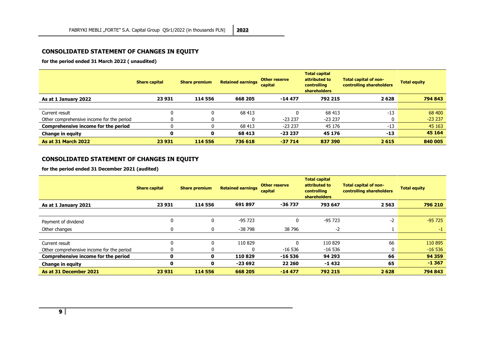# **CONSOLIDATED STATEMENT OF CHANGES IN EQUITY**

**for the period ended 31 March 2022 ( unaudited)**

|                                           | <b>Share capital</b> | <b>Share premium</b> | <b>Retained earnings</b> | <b>Other reserve</b><br>capital | <b>Total capital</b><br>attributed to<br>controlling<br><b>shareholders</b> | Total capital of non-<br>controlling shareholders | <b>Total equity</b> |
|-------------------------------------------|----------------------|----------------------|--------------------------|---------------------------------|-----------------------------------------------------------------------------|---------------------------------------------------|---------------------|
| As at 1 January 2022                      | 23 931               | 114 556              | 668 205                  | $-14477$                        | 792 215                                                                     | 2628                                              | 794 843             |
|                                           |                      |                      |                          |                                 |                                                                             |                                                   |                     |
| Current result                            | 0                    |                      | 68 413                   |                                 | 68 413                                                                      | $-13$                                             | 68 400              |
| Other comprehensive income for the period | 0                    |                      |                          | $-23237$                        | $-23237$                                                                    |                                                   | $-23237$            |
| Comprehensive income for the period       |                      |                      | 68 413                   | $-23237$                        | 45 176                                                                      | $-13$                                             | 45 163              |
| <b>Change in equity</b>                   | 0                    |                      | 68 413                   | $-23237$                        | 45 176                                                                      | $-13$                                             | 45 164              |
| <b>As at 31 March 2022</b>                | 23 931               | 114 556              | 736 618                  | $-37714$                        | 837 390                                                                     | 2615                                              | 840 005             |

# **CONSOLIDATED STATEMENT OF CHANGES IN EQUITY**

**for the period ended 31 December 2021 (audited)**

<span id="page-8-1"></span><span id="page-8-0"></span>

|                                           | <b>Share capital</b> | <b>Share premium</b> | <b>Retained earnings</b> | <b>Other reserve</b><br>capital | <b>Total capital</b><br>attributed to<br>controlling<br><b>shareholders</b> | Total capital of non-<br>controlling shareholders | <b>Total equity</b> |
|-------------------------------------------|----------------------|----------------------|--------------------------|---------------------------------|-----------------------------------------------------------------------------|---------------------------------------------------|---------------------|
| As at 1 January 2021                      | 23 931               | 114 556              | 691897                   | $-36737$                        | 793 647                                                                     | 2 5 6 3                                           | 796 210             |
|                                           |                      |                      |                          |                                 |                                                                             |                                                   |                     |
| Payment of dividend                       | 0                    | 0                    | $-95723$                 | 0                               | $-95723$                                                                    | $-2$                                              | $-95725$            |
| Other changes                             | 0                    | 0                    | -38 798                  | 38 796                          | $-2$                                                                        |                                                   | -1                  |
|                                           |                      |                      |                          |                                 |                                                                             |                                                   |                     |
| Current result                            | U                    |                      | 110 829                  | ŋ                               | 110 829                                                                     | 66                                                | 110 895             |
| Other comprehensive income for the period | U                    |                      |                          | $-16536$                        | $-16536$                                                                    | 0                                                 | $-16536$            |
| Comprehensive income for the period       | 0                    | 0                    | 110829                   | $-16536$                        | 94 293                                                                      | 66                                                | 94 35 9             |
| <b>Change in equity</b>                   | 0                    | 0                    | $-23692$                 | 22 260                          | $-1432$                                                                     | 65                                                | $-1367$             |
| As at 31 December 2021                    | 23 931               | 114 556              | 668 205                  | $-14477$                        | 792 215                                                                     | 2628                                              | 794 843             |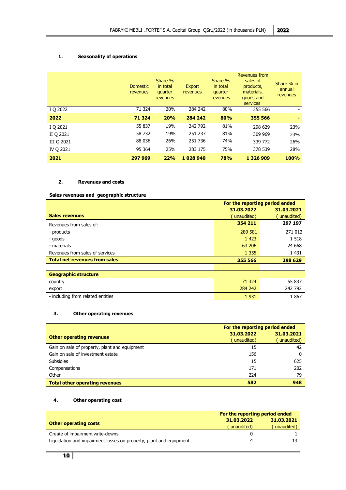# <span id="page-9-0"></span>**1. Seasonality of operations**

|            | <b>Domestic</b><br>revenues | Share %<br>in total<br>quarter<br>revenues | Export<br>revenues | Share %<br>in total<br>quarter<br>revenues | <b>Revenues from</b><br>sales of<br>products,<br>materials,<br>goods and<br>services | Share % in<br>annual<br>revenues |
|------------|-----------------------------|--------------------------------------------|--------------------|--------------------------------------------|--------------------------------------------------------------------------------------|----------------------------------|
| I Q 2022   | 71 324                      | 20%                                        | 284 242            | 80%                                        | 355 566                                                                              | -                                |
| 2022       | 71 3 24                     | 20%                                        | 284 242            | 80%                                        | 355 566                                                                              |                                  |
| I Q 2021   | 55 837                      | 19%                                        | 242 792            | 81%                                        | 298 629                                                                              | 23%                              |
| II Q 2021  | 58 732                      | 19%                                        | 251 237            | 81%                                        | 309 969                                                                              | 23%                              |
| III Q 2021 | 88 036                      | 26%                                        | 251 736            | 74%                                        | 339 772                                                                              | 26%                              |
| IV Q 2021  | 95 364                      | 25%                                        | 283 175            | 75%                                        | 378 539                                                                              | 28%                              |
| 2021       | 297 969                     | 22%                                        | 1028940            | 78%                                        | 1 3 2 6 9 0 9                                                                        | 100%                             |

# <span id="page-9-1"></span>**2. Revenues and costs**

# **Sales revenues and geographic structure**

|                                      | For the reporting period ended |            |  |  |
|--------------------------------------|--------------------------------|------------|--|--|
|                                      | 31.03.2022                     | 31.03.2021 |  |  |
| <b>Sales revenues</b>                | unaudited)                     | unaudited) |  |  |
| Revenues from sales of:              | 354 211                        | 297 197    |  |  |
| - products                           | 289 581                        | 271 012    |  |  |
| - goods                              | 1 4 2 3                        | 1 5 1 8    |  |  |
| - materials                          | 63 206                         | 24 6 68    |  |  |
| Revenues from sales of services      | 1 3 5 5                        | 1 4 3 1    |  |  |
| <b>Total net revenues from sales</b> | 355 566                        | 298 629    |  |  |
|                                      |                                |            |  |  |
| <b>Geographic structure</b>          |                                |            |  |  |
| country                              | 71 324                         | 55 837     |  |  |
| export                               | 284 242                        | 242 792    |  |  |
| - including from related entities    | 1931                           | 1867       |  |  |

# <span id="page-9-2"></span>**3. Other operating revenues**

|                                               | For the reporting period ended |            |  |
|-----------------------------------------------|--------------------------------|------------|--|
| <b>Other operating revenues</b>               | 31.03.2022                     | 31.03.2021 |  |
|                                               | unaudited)                     | unaudited) |  |
| Gain on sale of property, plant and equipment | 15                             | 42         |  |
| Gain on sale of investment estate             | 156                            | 0          |  |
| <b>Subsidies</b>                              | 15                             | 625        |  |
| Compensations                                 | 171                            | 202        |  |
| Other                                         | 224                            | 79         |  |
| <b>Total other operating revenues</b>         | 582                            | 948        |  |

#### <span id="page-9-3"></span>**4. Other operating cost**

|                                                                    | For the reporting period ended |            |  |
|--------------------------------------------------------------------|--------------------------------|------------|--|
| <b>Other operating costs</b>                                       | 31.03.2022                     | 31.03.2021 |  |
|                                                                    | unaudited)                     | unaudited) |  |
| Create of impairment write-downs                                   |                                |            |  |
| Liquidation and impairment losses on property, plant and equipment |                                |            |  |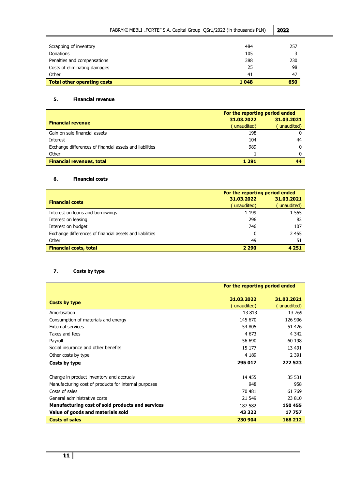| FABRYKI MEBLI "FORTE" S.A. Capital Group QSr1/2022 (in thousands PLN) |      | 2022 |
|-----------------------------------------------------------------------|------|------|
| Scrapping of inventory                                                | 484  | 257  |
| <b>Donations</b>                                                      | 105  |      |
| Penalties and compensations                                           | 388  | 230  |
| Costs of eliminating damages                                          | 25   | 98   |
| Other                                                                 | 41   | 47   |
| <b>Total other operating costs</b>                                    | 1048 | 650  |

# <span id="page-10-0"></span>**5. Financial revenue**

|                                                          | For the reporting period ended |            |
|----------------------------------------------------------|--------------------------------|------------|
| <b>Financial revenue</b>                                 | 31.03.2022                     | 31.03.2021 |
|                                                          | unaudited)                     | unaudited) |
| Gain on sale financial assets                            | 198                            |            |
| Interest                                                 | 104                            | 44         |
| Exchange differences of financial assets and liabilities | 989                            | 0          |
| Other                                                    |                                | n          |
| <b>Financial revenues, total</b>                         | 1 291                          |            |

# <span id="page-10-1"></span>**6. Financial costs**

|                                                          | For the reporting period ended |            |
|----------------------------------------------------------|--------------------------------|------------|
| <b>Financial costs</b>                                   | 31.03.2022                     | 31.03.2021 |
|                                                          | unaudited)                     | unaudited) |
| Interest on loans and borrowings                         | 1 1 9 9                        | 1 5 5 5    |
| Interest on leasing                                      | 296                            | 82         |
| Interest on budget                                       | 746                            | 107        |
| Exchange differences of financial assets and liabilities | 0                              | 2455       |
| Other                                                    | 49                             | 51         |
| <b>Financial costs, total</b>                            | 2 2 9 0                        | 4 2 5 1    |

# <span id="page-10-2"></span>**7. Costs by type**

|                                                      | For the reporting period ended |                           |
|------------------------------------------------------|--------------------------------|---------------------------|
| Costs by type                                        | 31.03.2022<br>unaudited)       | 31.03.2021<br>(unaudited) |
| Amortisation                                         | 13813                          | 13769                     |
| Consumption of materials and energy                  | 145 670                        | 126 906                   |
| <b>External services</b>                             | 54 805                         | 51 426                    |
| Taxes and fees                                       | 4 673                          | 4 3 4 2                   |
| Payroll                                              | 56 690                         | 60 198                    |
| Social insurance and other benefits                  | 15 177                         | 13 491                    |
| Other costs by type                                  | 4 1 8 9                        | 2 3 9 1                   |
| Costs by type                                        | 295 017                        | 272 523                   |
| Change in product inventory and accruals             | 14 4 55                        | 35 531                    |
| Manufacturing cost of products for internal purposes | 948                            | 958                       |
| Costs of sales                                       | 70 481                         | 61 769                    |
| General administrative costs                         | 21 549                         | 23 810                    |
| Manufacturing cost of sold products and services     | 187 582                        | 150 455                   |
| Value of goods and materials sold                    | 43 322                         | 17757                     |
| <b>Costs of sales</b>                                | 230 904                        | 168 212                   |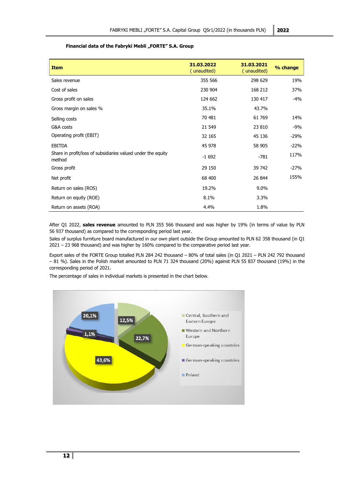#### Financial data of the Fabryki Mebli "FORTE" S.A. Group

<span id="page-11-0"></span>

| <b>Item</b>                                                            | 31.03.2022<br>(unaudited) | 31.03.2021<br>(unaudited) | % change |
|------------------------------------------------------------------------|---------------------------|---------------------------|----------|
| Sales revenue                                                          | 355 566                   | 298 629                   | 19%      |
| Cost of sales                                                          | 230 904                   | 168 212                   | 37%      |
| Gross profit on sales                                                  | 124 662                   | 130 417                   | -4%      |
| Gross margin on sales %                                                | 35.1%                     | 43.7%                     |          |
| Selling costs                                                          | 70 481                    | 61 769                    | 14%      |
| G&A costs                                                              | 21 549                    | 23 810                    | -9%      |
| Operating profit (EBIT)                                                | 32 165                    | 45 136                    | $-29%$   |
| <b>EBITDA</b>                                                          | 45 978                    | 58 905                    | $-22%$   |
| Share in profit/loss of subsidiaries valued under the equity<br>method | $-1692$                   | $-781$                    | 117%     |
| Gross profit                                                           | 29 150                    | 39 742                    | $-27%$   |
| Net profit                                                             | 68 400                    | 26 844                    | 155%     |
| Return on sales (ROS)                                                  | 19.2%                     | $9.0\%$                   |          |
| Return on equity (ROE)                                                 | 8.1%                      | 3.3%                      |          |
| Return on assets (ROA)                                                 | 4.4%                      | 1.8%                      |          |

After Q1 2022, **sales revenue** amounted to PLN 355 566 thousand and was higher by 19% (in terms of value by PLN 56 937 thousand) as compared to the corresponding period last year.

Sales of surplus furniture board manufactured in our own plant outside the Group amounted to PLN 62 358 thousand (in Q1 2021 – 23 968 thousand) and was higher by 160% compared to the comparative period last year.

Export sales of the FORTE Group totalled PLN 284 242 thousand – 80% of total sales (in Q1 2021 – PLN 242 792 thousand – 81 %). Sales in the Polish market amounted to PLN 71 324 thousand (20%) against PLN 55 837 thousand (19%) in the corresponding period of 2021.

The percentage of sales in individual markets is presented in the chart below.

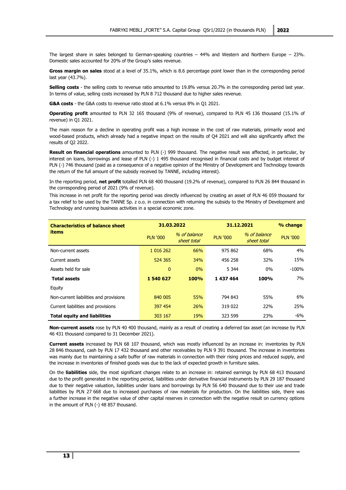The largest share in sales belonged to German-speaking countries – 44% and Western and Northern Europe – 23%. Domestic sales accounted for 20% of the Group's sales revenue.

**Gross margin on sales** stood at a level of 35.1%, which is 8.6 percentage point lower than in the corresponding period last year (43.7%).

**Selling costs** - the selling costs to revenue ratio amounted to 19.8% versus 20.7% in the corresponding period last year. In terms of value, selling costs increased by PLN 8 712 thousand due to higher sales revenue.

**G&A costs** - the G&A costs to revenue ratio stood at 6.1% versus 8% in Q1 2021.

**Operating profit** amounted to PLN 32 165 thousand (9% of revenue), compared to PLN 45 136 thousand (15.1% of revenue) in Q1 2021.

The main reason for a decline in operating profit was a high increase in the cost of raw materials, primarily wood and wood-based products, which already had a negative impact on the results of Q4 2021 and will also significantly affect the results of Q2 2022.

**Result on financial operations** amounted to PLN (-) 999 thousand. The negative result was affected, in particular, by interest on loans, borrowings and lease of PLN (-) 1 495 thousand recognised in financial costs and by budget interest of PLN (-) 746 thousand (paid as a consequence of a negative opinion of the Ministry of Development and Technology towards the return of the full amount of the subsidy received by TANNE, including interest).

In the reporting period, **net profit** totalled PLN 68 400 thousand (19.2% of revenue), compared to PLN 26 844 thousand in the corresponding period of 2021 (9% of revenue).

This increase in net profit for the reporting period was directly influenced by creating an asset of PLN 46 059 thousand for a tax relief to be used by the TANNE Sp. z o.o. in connection with returning the subsidy to the Ministry of Development and Technology and running business activities in a special economic zone.

| <b>Characteristics of balance sheet</b> | 31.03.2022      |                             |                 | 31.12.2021                  |                 |
|-----------------------------------------|-----------------|-----------------------------|-----------------|-----------------------------|-----------------|
| items                                   | <b>PLN '000</b> | % of balance<br>sheet total | <b>PLN '000</b> | % of balance<br>sheet total | <b>PLN '000</b> |
| Non-current assets                      | 1 016 262       | 66%                         | 975 862         | 68%                         | 4%              |
| Current assets                          | 524 365         | 34%                         | 456 258         | 32%                         | 15%             |
| Assets held for sale                    | $\mathbf{0}$    | 0%                          | 5 3 4 4         | $0\%$                       | $-100%$         |
| <b>Total assets</b>                     | 1 540 627       | <b>100%</b>                 | 1437464         | 100%                        | 7%              |
| Equity                                  |                 |                             |                 |                             |                 |
| Non-current liabilities and provisions  | 840 005         | 55%                         | 794 843         | 55%                         | 6%              |
| Current liabilities and provisions      | 397 454         | 26%                         | 319 022         | 22%                         | 25%             |
| <b>Total equity and liabilities</b>     | 303 167         | 19%                         | 323 599         | 23%                         | -6%             |

**Non-current assets** rose by PLN 40 400 thousand, mainly as a result of creating a deferred tax asset (an increase by PLN 46 431 thousand compared to 31 December 2021).

**Current assets** increased by PLN 68 107 thousand, which was mostly influenced by an increase in: inventories by PLN 28 846 thousand, cash by PLN 17 432 thousand and other receivables by PLN 9 391 thousand. The increase in inventories was mainly due to maintaining a safe buffer of raw materials in connection with their rising prices and reduced supply, and the increase in inventories of finished goods was due to the lack of expected growth in furniture sales.

On the **liabilities** side, the most significant changes relate to an increase in: retained earnings by PLN 68 413 thousand due to the profit generated in the reporting period, liabilities under derivative financial instruments by PLN 29 187 thousand due to their negative valuation, liabilities under loans and borrowings by PLN 56 640 thousand due to their use and trade liabilities by PLN 27 668 due to increased purchases of raw materials for production. On the liabilities side, there was a further increase in the negative value of other capital reserves in connection with the negative result on currency options in the amount of PLN (-) 48 857 thousand.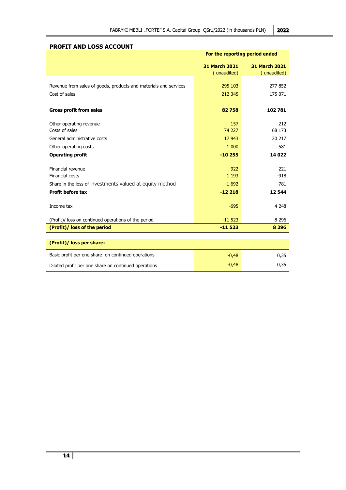|                                                                  | For the reporting period ended      |                                     |
|------------------------------------------------------------------|-------------------------------------|-------------------------------------|
|                                                                  | <b>31 March 2021</b><br>(unaudited) | <b>31 March 2021</b><br>(unaudited) |
| Revenue from sales of goods, products and materials and services | 295 103                             | 277852                              |
| Cost of sales                                                    | 212 345                             | 175 071                             |
| <b>Gross profit from sales</b>                                   | 82758                               | 102 781                             |
| Other operating revenue<br>Costs of sales                        | 157<br>74 227                       | 212<br>68 173                       |
| General administrative costs                                     | 17 943                              | 20 217                              |
| Other operating costs                                            | 1 000                               | 581                                 |
| <b>Operating profit</b>                                          | $-10255$                            | 14 0 22                             |
| Financial revenue<br>Financial costs                             | 922<br>1 1 9 3                      | 221<br>$-918$                       |
| Share in the loss of investments valued at equity method         | $-1692$                             | $-781$                              |
| <b>Profit before tax</b>                                         | $-12218$                            | 12544                               |
| Income tax                                                       | $-695$                              | 4 2 4 8                             |
| (Profit)/ loss on continued operations of the period             | $-11523$                            | 8 2 9 6                             |
| (Profit)/ loss of the period                                     | $-11523$                            | 8 2 9 6                             |
|                                                                  |                                     |                                     |
| (Profit)/ loss per share:                                        |                                     |                                     |
| Basic profit per one share on continued operations               | $-0,48$                             | 0,35                                |
| Diluted profit per one share on continued operations             | $-0,48$                             | 0,35                                |

# <span id="page-13-0"></span>**PROFIT AND LOSS ACCOUNT**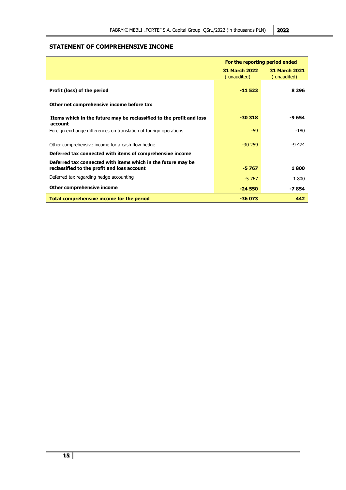# <span id="page-14-0"></span>**STATEMENT OF COMPREHENSIVE INCOME**

|                                                                                                             | For the reporting period ended      |                                     |  |
|-------------------------------------------------------------------------------------------------------------|-------------------------------------|-------------------------------------|--|
|                                                                                                             | <b>31 March 2022</b><br>(unaudited) | <b>31 March 2021</b><br>(unaudited) |  |
| Profit (loss) of the period                                                                                 | $-11523$                            | 8 2 9 6                             |  |
| Other net comprehensive income before tax                                                                   |                                     |                                     |  |
| Items which in the future may be reclassified to the profit and loss<br>account                             | $-30318$                            | -9 654                              |  |
| Foreign exchange differences on translation of foreign operations                                           | $-59$                               | $-180$                              |  |
| Other comprehensive income for a cash flow hedge                                                            | $-30.259$                           | -9 474                              |  |
| Deferred tax connected with items of comprehensive income                                                   |                                     |                                     |  |
| Deferred tax connected with items which in the future may be<br>reclassified to the profit and loss account | $-5767$                             | 1800                                |  |
| Deferred tax regarding hedge accounting                                                                     | $-5767$                             | 1 800                               |  |
| Other comprehensive income                                                                                  | $-24550$                            | -7 854                              |  |
| Total comprehensive income for the period                                                                   | $-36073$                            | 442                                 |  |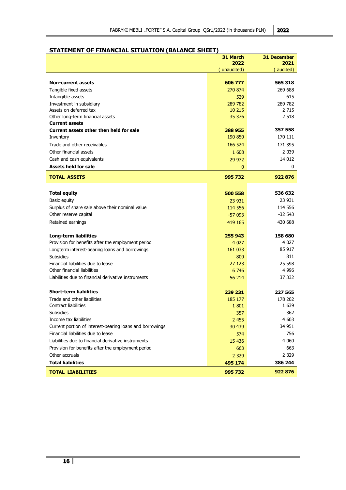# <span id="page-15-0"></span>**STATEMENT OF FINANCIAL SITUATION (BALANCE SHEET)**

|                                                            | 31 March<br>2022 | <b>31 December</b><br>2021 |
|------------------------------------------------------------|------------------|----------------------------|
|                                                            | unaudited)       | (audited)                  |
|                                                            |                  |                            |
| <b>Non-current assets</b>                                  | 606 777          | 565 318                    |
| Tangible fixed assets                                      | 270 874          | 269 688                    |
| Intangible assets                                          | 529              | 615                        |
| Investment in subsidiary                                   | 289 782          | 289 782                    |
| Assets on deferred tax                                     | 10 215           | 2 715                      |
| Other long-term financial assets                           | 35 376           | 2 5 18                     |
| <b>Current assets</b>                                      |                  |                            |
| Current assets other then held for sale                    | 388 955          | 357 558                    |
| Inventory                                                  | 190 850          | 170 111                    |
| Trade and other receivables                                | 166 524          | 171 395                    |
| Other financial assets                                     | 1608             | 2 0 3 9                    |
| Cash and cash equivalents                                  | 29 972           | 14 012                     |
| <b>Assets held for sale</b>                                | 0                | 0                          |
| <b>TOTAL ASSETS</b>                                        | 995732           | 922876                     |
|                                                            |                  |                            |
| <b>Total equity</b>                                        | 500 558          | 536 632                    |
| Basic equity                                               | 23 931           | 23 931                     |
| Surplus of share sale above their nominal value            | 114 556          | 114 556                    |
| Other reserve capital                                      | $-57093$         | $-32543$                   |
| Retained earnings                                          | 419 165          | 430 688                    |
| Long-term liabilities                                      | 255 943          | 158 680                    |
| Provision for benefits after the employment period         | 4 0 2 7          | 4 027                      |
| Longterm interest-bearing loans and borrowings             | 161 033          | 85 917                     |
| <b>Subsidies</b>                                           | 800              | 811                        |
| Financial liabilities due to lease                         | 27 123           | 25 598                     |
| Other financial liabilities                                | 6746             | 4 996                      |
| Liabilities due to financial derivative instruments        | 56 214           | 37 332                     |
| <b>Short-term liabilities</b>                              |                  |                            |
|                                                            | 239 231          | 227 565                    |
| Trade and other liabilities<br><b>Contract liabilities</b> | 185 177<br>1801  | 178 202<br>1 639           |
| <b>Subsidies</b>                                           | 357              | 362                        |
| Income tax liabilities                                     | 2 4 5 5          | 4 603                      |
| Current portion of interest-bearing loans and borrowings   | 30 439           | 34 951                     |
| Financial liabilities due to lease                         | 574              | 756                        |
| Liabilities due to financial derivative instruments        |                  | 4 0 6 0                    |
| Provision for benefits after the employment period         | 15 4 36          | 663                        |
|                                                            | 663              |                            |
| Other accruals                                             | 2 3 2 9          | 2 329                      |
| <b>Total liabilities</b>                                   | 495 174          | 386 244                    |
| <b>TOTAL LIABILITIES</b>                                   | 995 732          | 922 876                    |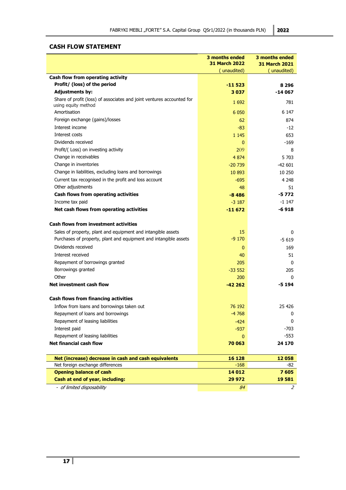# <span id="page-16-0"></span>**CASH FLOW STATEMENT**

|                                                                                              | 3 months ended<br><b>31 March 2022</b> | 3 months ended<br><b>31 March 2021</b> |
|----------------------------------------------------------------------------------------------|----------------------------------------|----------------------------------------|
|                                                                                              | (unaudited)                            | (unaudited)                            |
| Cash flow from operating activity                                                            |                                        |                                        |
| Profit/ (loss) of the period                                                                 | $-11523$                               | 8 2 9 6                                |
| <b>Adjustments by:</b>                                                                       | 3037                                   | -14 067                                |
| Share of profit (loss) of associates and joint ventures accounted for<br>using equity method | 1 6 9 2                                | 781                                    |
| Amortisation                                                                                 | 6 0 5 0                                | 6 1 4 7                                |
| Foreign exchange (gains)/losses                                                              | 62                                     | 874                                    |
| Interest income                                                                              | $-83$                                  | $-12$                                  |
| Interest costs                                                                               | 1 1 4 5                                | 653                                    |
| Dividends received                                                                           | $\mathbf{0}$                           | -169                                   |
| Profit/(Loss) on investing activity                                                          | 209                                    | 8                                      |
| Change in receivables                                                                        | 4 8 7 4                                | 5 703                                  |
| Change in inventories                                                                        | $-20739$                               | -42 601                                |
| Change in liabilities, excluding loans and borrowings                                        | 10 893                                 | 10 250                                 |
| Current tax recognised in the profit and loss account                                        | $-695$                                 | 4 2 4 8                                |
| Other adjustments                                                                            | 48                                     | 51                                     |
| Cash flows from operating activities                                                         | $-8486$                                | $-5772$                                |
| Income tax paid                                                                              | $-3187$                                | $-1147$                                |
| Net cash flows from operating activities                                                     | $-11672$                               | $-6918$                                |
|                                                                                              |                                        |                                        |
| <b>Cash flows from investment activities</b>                                                 |                                        |                                        |
| Sales of property, plant and equipment and intangible assets                                 | 15                                     | 0                                      |
| Purchases of property, plant and equipment and intangible assets                             | $-9170$                                | $-5619$                                |
| Dividends received                                                                           | $\mathbf 0$                            | 169                                    |
| Interest received                                                                            | 40                                     | 51                                     |
| Repayment of borrowings granted                                                              | 205                                    | 0                                      |
| Borrowings granted                                                                           | $-33552$                               | 205                                    |
| Other                                                                                        | 200                                    | 0                                      |
| Net investment cash flow                                                                     | $-42262$                               | -5 194                                 |
|                                                                                              |                                        |                                        |
| Cash flows from financing activities                                                         |                                        |                                        |
| Inflow from loans and borrowings taken out                                                   | 76 192                                 | 25 4 26                                |
| Repayment of loans and borrowings                                                            | $-4768$                                | 0                                      |
| Repayment of leasing liabilities                                                             | $-424$                                 | 0                                      |
| Interest paid                                                                                | $-937$                                 | $-703$                                 |
| Repayment of leasing liabilities                                                             | $\mathbf{0}$                           | -553                                   |
| <b>Net financial cash flow</b>                                                               | 70 063                                 | 24 170                                 |
|                                                                                              |                                        |                                        |
| Net (increase) decrease in cash and cash equivalents                                         | 16 128                                 | 12058                                  |
| Net foreign exchange differences                                                             | $-168$                                 | -82                                    |
| <b>Opening balance of cash</b>                                                               | 14 012                                 | 7605                                   |
| Cash at end of year, including:                                                              | 29 972                                 | 19581                                  |
| - of limited disposability                                                                   | 84                                     | 2                                      |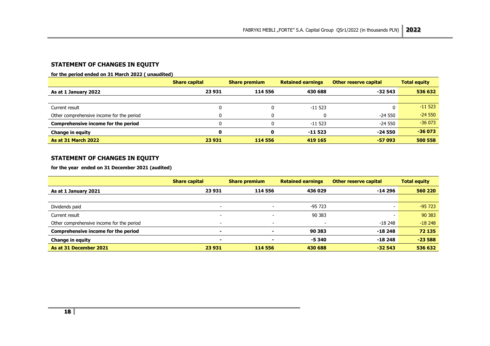# **STATEMENT OF CHANGES IN EQUITY**

#### **for the period ended on 31 March 2022 ( unaudited)**

|                                           | <b>Share capital</b> | <b>Share premium</b> | <b>Retained earnings</b> | Other reserve capital | <b>Total equity</b> |
|-------------------------------------------|----------------------|----------------------|--------------------------|-----------------------|---------------------|
| As at 1 January 2022                      | 23 931               | 114 556              | 430 688                  | $-32543$              | 536 632             |
|                                           |                      |                      |                          |                       |                     |
| Current result                            |                      |                      | -11 523                  | 0                     | $-11523$            |
| Other comprehensive income for the period |                      |                      |                          | -24 550               | $-24550$            |
| Comprehensive income for the period       |                      |                      | $-11523$                 | -24 550               | $-36073$            |
| <b>Change in equity</b>                   | 0                    | O                    | -11 523                  | $-24550$              | $-36073$            |
| <b>As at 31 March 2022</b>                | 23 931               | 114 556              | 419 165                  | $-57093$              | 500 558             |

# **STATEMENT OF CHANGES IN EQUITY**

**for the year ended on 31 December 2021 (audited)**

<span id="page-17-1"></span><span id="page-17-0"></span>

|                                           | <b>Share capital</b>     | <b>Share premium</b>     | <b>Retained earnings</b> | Other reserve capital | <b>Total equity</b> |
|-------------------------------------------|--------------------------|--------------------------|--------------------------|-----------------------|---------------------|
| As at 1 January 2021                      | 23 931                   | 114 556                  | 436 029                  | -14 296               | 560 220             |
|                                           |                          |                          |                          |                       |                     |
| Dividends paid                            | $\overline{\phantom{a}}$ | $\overline{\phantom{0}}$ | $-95723$                 |                       | $-95723$            |
| Current result                            | -                        |                          | 90 383                   | -                     | 90 383              |
| Other comprehensive income for the period |                          | $\overline{\phantom{0}}$ | $\overline{\phantom{0}}$ | -18 248               | $-18248$            |
| Comprehensive income for the period       |                          |                          | 90 383                   | $-18248$              | 72 135              |
| <b>Change in equity</b>                   | $\blacksquare$           |                          | $-5340$                  | $-18248$              | $-23588$            |
| As at 31 December 2021                    | 23 931                   | 114 556                  | 430 688                  | $-32543$              | 536 632             |